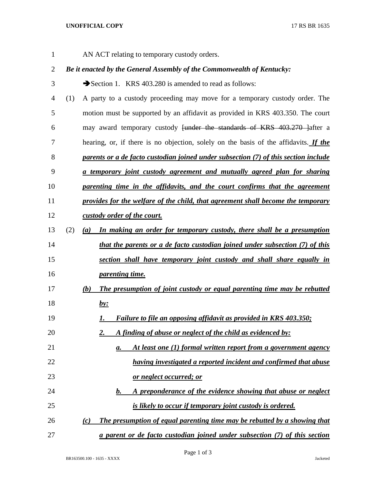## **UNOFFICIAL COPY** 17 RS BR 1635

AN ACT relating to temporary custody orders.

## *Be it enacted by the General Assembly of the Commonwealth of Kentucky:*

3 Section 1. KRS 403.280 is amended to read as follows:

- (1) A party to a custody proceeding may move for a temporary custody order. The motion must be supported by an affidavit as provided in KRS 403.350. The court 6 may award temporary custody <del>[under the standards of KRS 403.270 ]</del>after a hearing, or, if there is no objection, solely on the basis of the affidavits. *If the parents or a de facto custodian joined under subsection (7) of this section include a temporary joint custody agreement and mutually agreed plan for sharing parenting time in the affidavits, and the court confirms that the agreement provides for the welfare of the child, that agreement shall become the temporary custody order of the court.* (2) *(a) In making an order for temporary custody, there shall be a presumption that the parents or a de facto custodian joined under subsection (7) of this section shall have temporary joint custody and shall share equally in parenting time. (b) The presumption of joint custody or equal parenting time may be rebutted by: 1. Failure to file an opposing affidavit as provided in KRS 403.350; 2. A finding of abuse or neglect of the child as evidenced by: a. At least one (1) formal written report from a government agency having investigated a reported incident and confirmed that abuse or neglect occurred; or b. A preponderance of the evidence showing that abuse or neglect is likely to occur if temporary joint custody is ordered. (c) The presumption of equal parenting time may be rebutted by a showing that*
- *a parent or de facto custodian joined under subsection (7) of this section*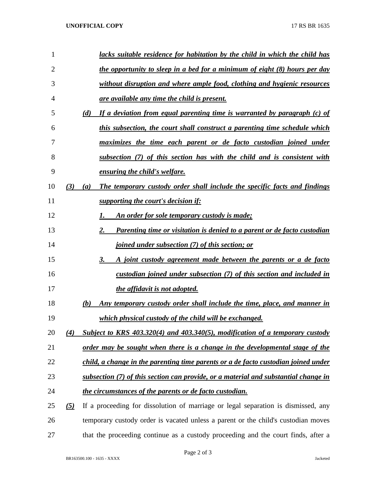| 1              |                   |     | lacks suitable residence for habitation by the child in which the child has         |
|----------------|-------------------|-----|-------------------------------------------------------------------------------------|
| $\overline{2}$ |                   |     | the opportunity to sleep in a bed for a minimum of eight (8) hours per day          |
| 3              |                   |     | without disruption and where ample food, clothing and hygienic resources            |
| 4              |                   |     | <u>are available any time the child is present.</u>                                 |
| 5              |                   | (d) | If a deviation from equal parenting time is warranted by paragraph (c) of           |
| 6              |                   |     | this subsection, the court shall construct a parenting time schedule which          |
| 7              |                   |     | maximizes the time each parent or de facto custodian joined under                   |
| 8              |                   |     | subsection (7) of this section has with the child and is consistent with            |
| 9              |                   |     | ensuring the child's welfare.                                                       |
| 10             | (3)               | (a) | The temporary custody order shall include the specific facts and findings           |
| 11             |                   |     | <i>supporting the court's decision if:</i>                                          |
| 12             |                   |     | An order for sole temporary custody is made;                                        |
| 13             |                   | 2.  | <b>Parenting time or visitation is denied to a parent or de facto custodian</b>     |
| 14             |                   |     | <i>joined under subsection (7) of this section; or</i>                              |
| 15             |                   | 3.  | A joint custody agreement made between the parents or a de facto                    |
| 16             |                   |     | custodian joined under subsection (7) of this section and included in               |
| 17             |                   |     | the affidavit is not adopted.                                                       |
| 18             |                   | (b) | <u>Any temporary custody order shall include the time, place, and manner in</u>     |
| 19             |                   |     | which physical custody of the child will be exchanged.                              |
| 20             | (4)               |     | Subject to KRS $403.320(4)$ and $403.340(5)$ , modification of a temporary custody  |
| 21             |                   |     | order may be sought when there is a change in the developmental stage of the        |
| 22             |                   |     | child, a change in the parenting time parents or a de facto custodian joined under  |
| 23             |                   |     | subsection (7) of this section can provide, or a material and substantial change in |
| 24             |                   |     | the circumstances of the parents or de facto custodian.                             |
| 25             | $\left( 5\right)$ |     | If a proceeding for dissolution of marriage or legal separation is dismissed, any   |
| 26             |                   |     | temporary custody order is vacated unless a parent or the child's custodian moves   |
| 27             |                   |     | that the proceeding continue as a custody proceeding and the court finds, after a   |

Page 2 of 3